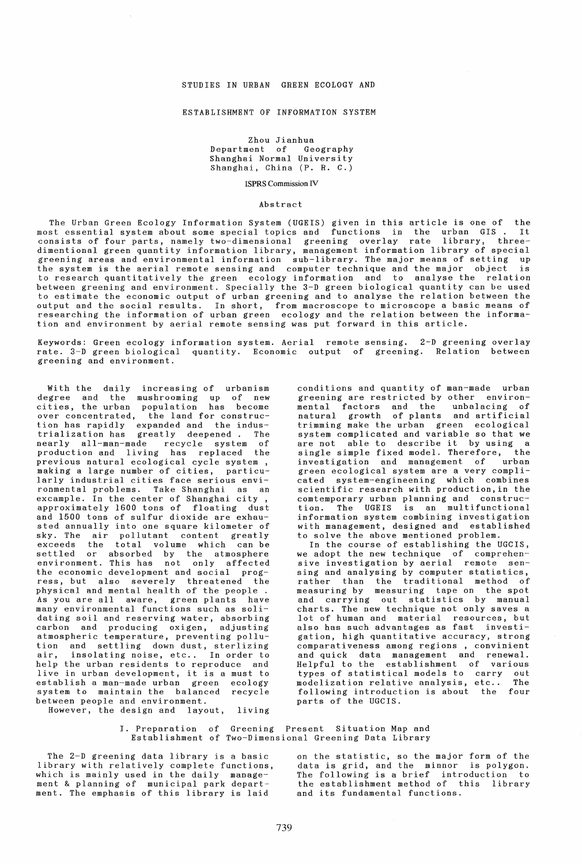## STUDIES IN URBAN GREEN ECOLOGY AND

#### ESTABLISHMENT OF INFORMATION SYSTEM

Zhou Jianhua Department of Geography Shanghai Normal University Shanghai, China (P. R. C.)

ISPRS Commission IV

### Abstract

The Urban Green Ecology Information System (UGEIS) given in this article is one of the most essential system about some special topics and functions in the urban GIS. It consists of four parts, namely two-dimensional greening overlay rate library, threedimentional green quantity information library, management information library of special greening areas and environmental information sub-library. The major means of setting up the system is the aerial remote sensing and computer technique and the major object is to research quantitatively the green ecology information and to analyse the relation between greening and environment. Specially the 3-D green biological quantity can be used to estimate the economic output of urban greening and to analyse the relation between the output and the social results. In short, from macroscope to microscope a basic means of researching the information of urban green ecology and the relation between the information and environment by aerial remote sensing was put forward in this article.

Keywords: Green ecology information system. Aerial remote sensing. 2-D greening overlay rate. 3-D green biological quantity. Economic output of greening. Relation between greening and environment.

With the daily increasing of urbanism degree and the mushrooming up of new cities, the urban population has become over concentrated, the land for construction has rapidly expanded and the indus-trialization has greatly deepened. The nearly all-man-made recycle system of production and living has replaced the previous natural ecological cycle system, making a large number of cities, particularly industrial cities face serious environmental problems. Take Shanghai as an excample. In the center of Shanghai city, approximately 1600 tons of floating dust and 1500 tons of sulfur dioxide are exhausted annually into one square kilometer of sted dimensity into the square arrested of exceeds the total volume which can be settled or absorbed by the atmosphere environment. This has not only affected the economic development and social progress, but also severely threatened the physical and mental health of the people. As you are all aware, green plants have many environmental functions such as solidating soil and reserving water, absorbing<br>carbon and producing oxigen, adjusting carbon and producing oxigen, atmospheric temperature, preventing pollution and settling down dust, sterlizing air, insolating noise, etc.. In order to help the urban residents to reproduce and live in urban development, it is a must to establish a man-made urban green ecology system to maintain the balanced recycle between people and environment.

However, the design and layout, living

conditions and quantity of man-made urban greening are restricted by other environmental factors and the unbalacing of natural growth of plants and artificial trimming make the urban green ecological system complicated and variable so that we are not able to describe it by using a<br>single simple fixed model. Therefore, the single simple fixed model. Therefore, the<br>investigation and management of urban investigation and management of green ecological system are a very complicated system-engineening which combines scientific research with production,in the comtemporary urban planning and construction. The UGEIS is an multifunctional information system combining investigation with management, designed and established to solve the above mentioned problem.

In the course of establishing the UGCIS, we adopt the new technique of comprehensive investigation by aerial remote sensive investigation by action remote sen<br>sing and analysing by computer statistics, rather than the traditional method of measuring by measuring tape on the spot and carrying out statistics by manual charts. The new technique not only saves a lot of human and material resources, but also has such advantages as fast investigation, high quantitative accuracy. strong comparativeness among regions , convinient and quick data management and renewal. Helpful to the establishment of various types of statistical models to carry out modelization relative analysis, etc.. following introduction is about the four parts of the UGCIS.

I. Preparation of Greening Present Situation Map and Establishment of Two-Dimensional Greening Data Library

The 2-D greening data library is a basic library with relatively complete functions, which is mainly used in the daily management & planning of municipal park department. The emphasis of this library is laid

on the statistic, so the major form of the data is grid, and the minnor is polygon. The following is a brief introduction to the establishment method of this library and its fundamental functions.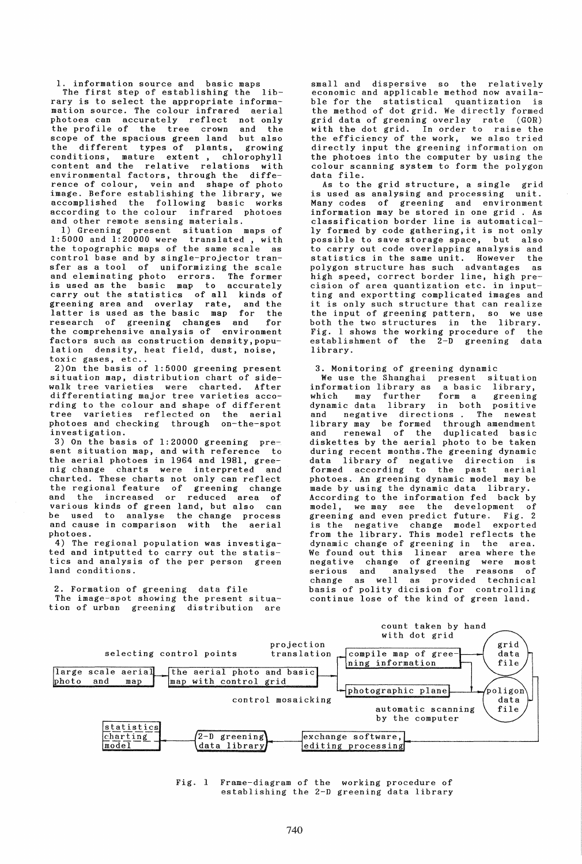1. information source and basic maps<br>The first step of establishing the lib-

The first step of establishing the rary is to select the appropriate informamation source. The colour infrared aerial photoes can accurately reflect not only the profile of the tree crown scope of the spacious green land but also<br>the different types of plants, growing the different types of plants,<br>conditions, mature extent, ch mature extent, chlorophyll content and the relative relations with environmental factors, through the difference of colour, vein and shape of photo image. Before establishing the library, we accomplished the following basic works according to the colour infrared photoes and other remote sensing materials.

1) Greening present situation maps of 1:5000 and 1:20000 were translated, with the topographic maps of the same scale as control base and by single-projector transfer as a tool of uniformizing the scale and eleminating photo errors. The former is used as the basic map to accurately carry out the statistics of all kinds of greening area and overlay rate, and the latter is used as the basic map for the research of greening changes and for the comprehensive analysis of environment factors such as construction density,population density, heat field, dust, noise, toxic gases, etc..

2)On the basis of 1:5000 greening present situation map, distribution chart of sidewalk tree varieties were charted. After differentiating major tree varieties according to the colour and shape of different varieties reflected on the aerial photoes and checking through on-the-spot investigation.

3) On the basis of 1:20000 greening present situation map, and with reference to the aerial photoes in 1964 and 1981, greenig change charts were interpreted charted. These charts not only can reflect the regional feature of greening change and the increased or reduced area of various kinds of green land, but also can be used to analyse the change process<br>and cause in comparison with the aerial and cause in comparison with the photoes.

4) The regional population was investigated and intputted to carry out the statistics and analysis of the per person green land conditions.

2. Formation of greening data file The image-spot showing the present situation of urban greening distribution are small and dispersive so the relatively economic and applicable method now available for the statistical quantization is the method of dot grid. We directly formed grid data of greening overlay rate (GOR) with the dot grid. In order to raise the the efficiency of the work, we also tried directly input the greening information on the photoes into the computer by using the colour scanning system to form the polygon data file.

As to the grid structure, a single grid is used as analysing and processing unit. Many codes of greening and environment information may be stored in one grid . As classification border line is automatically formed by code gathering,it is not only possible to save storage space, but also to carry out code overlapping analysis and statistics in the same unit. However the polygon structure has such advantages as high speed, correct border line, high precision of area quantization etc. in inputting and exportting complicated images and it is only such structure that can realize the input of greening pattern, so we use both the two structures in the library. Fig. 1 shows the working procedure of the establishment of the  $2-\overline{D}$  greening data library.

3. Monitoring of greening dynamic

We use the Shanghai present situation<br>formation library as a basic library, information library as a basic library, may further dynamic data library in both positive negative directions. The newest library may be formed through amendment and renewal of the duplicated basic diskettes by the aerial photo to be taken during recent months. The greening dynamic data library of negative direction is<br>formed according to the past aerial formed according to the past photoes. An greening dynamic model may be made by using the dynamic data library. According to the information fed back by<br>model, we may see the development of we may see the development of greening and even predict future. Fig. 2 is the negative change model exported from the library. This model reflects the dynamic change of greening in the area. We found out this linear negative change of greening were most analysed the reasons of change as well as provided technical basis of polity dicision for controlling continue lose of the kind of green land.



Fig. 1 Frame-diagram of the working procedure of establishing the 2-D greening data library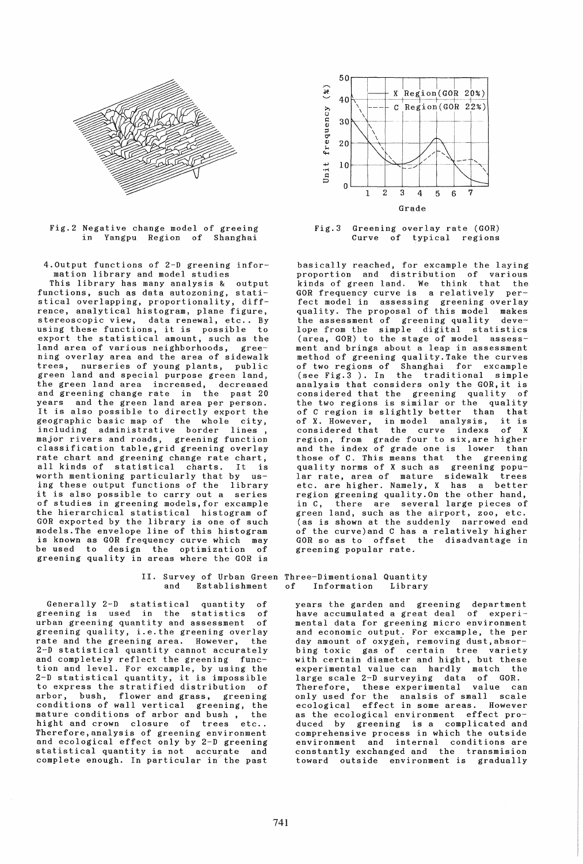

Fig.2 Negative change model of greeing in Yangpu Region of Shanghai

4.0utput functions of 2-D greening information library and model studies

This library has many analysis & output functions, such as data autozoning, statistical overlapping, proportionality, diffrence, analytical histogram, plane figure, ence, analytical mistogram, plane ligate,<br>stereoscopic view, data renewal, etc.. By steresscopic view, data renewar, etc.. by<br>using these functions, it is possible to export the statistical amount, such as the land area of various neighborhoods, greening overlay area and the area of sidewalk<br>trees, nurseries of young plants, public nurseries of young plants, public green land and special purpose green land, the green land area increased, decreased and greening change rate in the past 20 years and the green land area per person. It is also possible to directly export the geographic basic map of the whole city, geographic basic map of the whole city,<br>including administrative border lines, including administrative border major rivers and roads, greening function classification table,grid greening overlay rate chart and greening change rate chart, all kinds of statistical charts. It is worth mentioning particularly that by using these output functions of the library it is also possible to carry out a series of studies in greening models,for excample the hierarchical statistical histogram of GOR exported by the library is one of such models. The envelope line of this histogram is known as GOR frequency curve which may<br>be used to design the optimization of design the optimization greening quality in areas where the GOR is

Generally 2-D statistical quantity of<br>eening is used in the statistics of greening is used in the statistics of<br>urban\_greening\_quantity\_and\_assessment\_of urban greening quantity and assessment greening quality, i.e. the greening overlay rate and the greening area. However, 2-D statistical quantity cannot accurately and completely reflect the greening function and level. For excample, by using the 2-D statistical quantity, it is impossible to express the stratified distribution of arbor, bush, flower and grass, greening conditions of wall vertical greening, the mature conditions of arbor and bush, the mature conditions of arbor and bush, the<br>hight and crown closure of trees etc.. Therefore,analysis of greening environment and ecological effect only by 2-D greening statistical quantity is not accurate and complete enough. In particular in the past



Fig.3 Greening overlay rate (GOR) Curve of typical regions

basically reached, for excample the laying proportion and distribution of various kinds of green land. We think that the GOR frequency curve is a relatively perfect model in assessing greening overlay quality. The proposal of this model makes the assessment of greening quality develope from the simple digital statistics (area, GOR) to the stage of model assessment and brings about a leap in assessment method of greening quality. Take the curves of two regions of Shanghai for excample (see Fig.3 ). In the traditional simple analysis that considers only the GOR, it is considered that the greening quality of the two regions is similar or the quality of C region is slightly better than that of X. However, in model analysis, it is considered that the curve indexs of X region, from grade four to six,are higher and the index of grade one is lower those of C. This means that the greening quality norms of X such as greening popular rate, area of mature sidewalk trees etc. are higher. Namely, X has a better region greening quality. On the other hand,<br>in C, there are several large pieces of there are several large pieces of green land, such as the airport, zoo, etc. (as is shown at the suddenly narrowed end of the curve)and C has a relatively higher GOR so as to offset the disadvantage in greening popular rate.

# II. Survey of Urban Green Three-Dimentional Quantity and Establishment of Information Library

years the garden and greening department have accumulated a great deal of experimental data for greening micro environment and economic output. For excample, the per day amount of oxygen, removing dust,absorbing toxic gas of certain tree variety with certain diameter and hight, but these experimental value can hardly match the large scale 2-D surveying data of GOR. Therefore, these experimental value can only used for the analsis of small scale ecological effect in some areas. However as the ecological environment effect produced by greening is a complicated and comprehensive process in which the outside environment and internal conditions are constantly exchanged and the transmision toward outside environment is gradually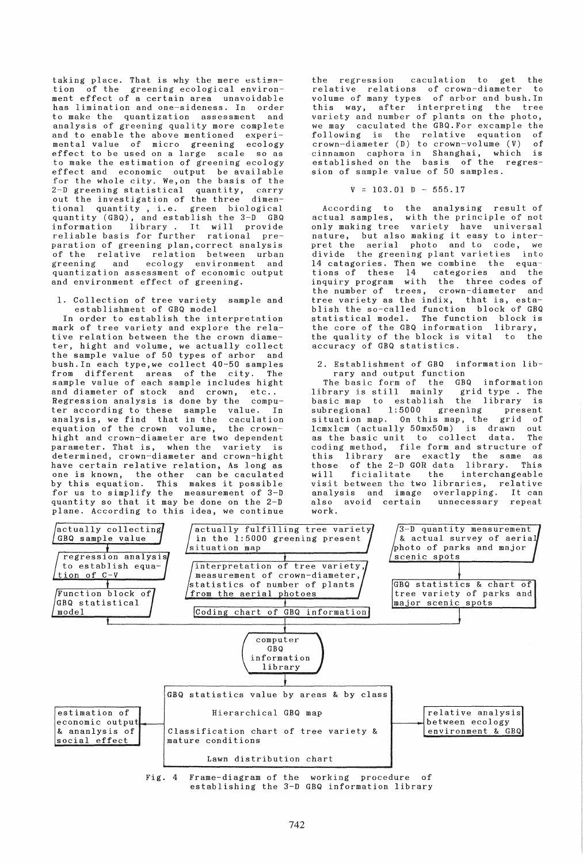taking place. That is why the mere estimation of the greening ecological environment effect of a certain area unavoidable has limination and one-sideness. In order to make the quantization assessment and analysis of greening quality more complete and to enable the above mentioned experimental value of micro greening effect to be used on a large scale so as to make the estimation of greening ecology effect and economic output be available errect and contract terms<br>for the whole city. We,on the basis of the<br>2-D greening statistical quantity, carry 2-D greening statistical quantity, carry out the investigation of the three dimentional quantity, i.e. green biological quantity (GBQ), and establish the 3-D GBQ information library. It will provide reliable basis for further rational preparation of greening plan,correct analysis of the relative relation between urban<br>greening and ecology environment and and ecology environment and quantization assessment of economic output and environment effect of greening.

1. Collection of tree variety sample and establishment of GBG model

In order to establish the interpretation mark of tree variety and explore the relative relation between the the crown diameter, hight and volume, we actually collect the sample value of 50 types of arbor and bush.In each type,we collect 40-50 samples from different areas of the city. The sample value of each sample includes hight and diameter of stock and crown, etc..<br>Regression analysis is done by the compu-Regression analysis is done by the ter according to these sample value. In analysis, we find that in the caculation equation of the crown volume, the crownhight and crown-diameter are two dependent parameter. That is, when the variety is determined, crown-diameter and crown-hight have certain relative relation, As long as one is known, the other can be caculated by this equation. This makes it possible for us to simplify the measurement of 3-D quantity so that it may be done on the 2-D plane. According to this idea, we continue

the regression caculation to get the relative relations of crown-diameter to volume of many types of arbor and bush.In this way, after interpreting the tree variety and number of plants on the photo, we may caculated the GBQ.For excample the following is the relative equation of crown-diameter (D) to crown-volume (V) of cinnamon caphora in Shanghai, which is established on the basis of the regression of sample value of 50 samples.

 $V = 103.01$  D - 555.17

According to the analysing result of actual samples, with the principle of not only making tree variety have universal nature, but also making it easy to interpret the aerial photo and to code, we divide the greening plant varieties into 14 catagories. Then we combine the equations of these 14 categories and the inquiry program with the three codes of the number of trees, crown-diameter and tree variety as the indix, that is, establish the so-called function block of GBQ statistical model. The function block is the core of the GBQ information library, the quality of the block is vital to the accuracy of GBG statistics.

2. Establishment of GBG information library and output function

The basic form of the GBQ information<br>brary is still mainly grid type . The library is still mainly grid type .<br>basic map to establish the library basic map to establish the library is<br>subregional 1:5000 greening present  $subregional$  1:5000 sabregrend ricess greening presence lcmxlcm (actually 50mx50m) is drawn out as the basic unit to collect data. The coding method, file form and structure of this library are exactly the same as those of the 2-D GOR data library. This will ficialitate the interchangeable visit between the two libraries, relative analysis and image overlapping. It can also avoid certain work.



establishing the *3-D* GBG information library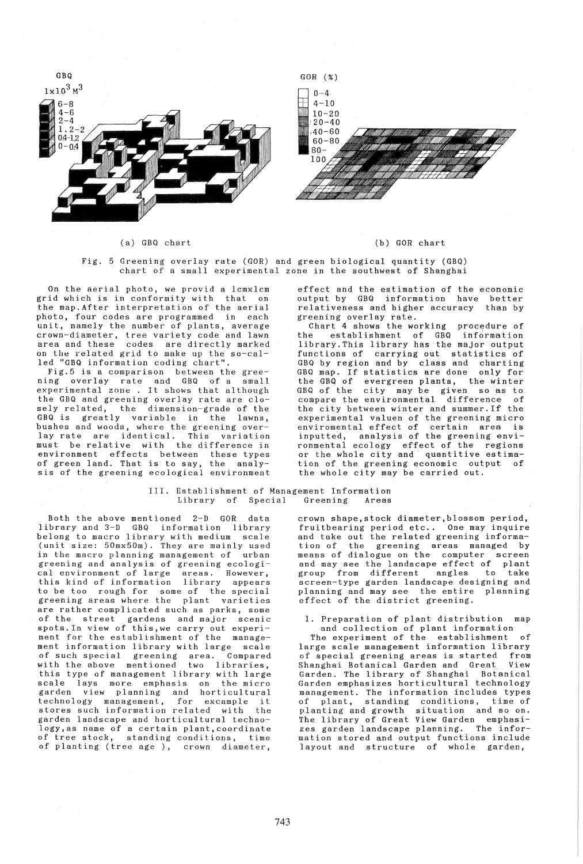

(a) GBG chart

(b) GOR chart

Fig. 5 Greening overlay rate (GOR) and green biological quantity (GBG) chart of a small experimental zone in the southwest of Shanghai

On the aerial photo, we provid a lcmxlcm grid which is in conformity with that on the map.After interpretation of the aerial photo, four codes are programmed in each unit, namely the number of plants, average crown-diameter, tree variety code and lawn area and these codes are directly marked on the related grid to make up the so-called "GBG information coding chart".

Fig.5 is a comparison between the greening overlay rate and GBQ of a small<br>experimental zone. It shows that although the GBQ and greening overlay rate are closely related, the dimension-grade of the GBQ is greatly variable in the lawns, bushes and woods, where the greening overlay rate are identical. This variation must be relative with the difference in environment effects between these types of green land. That is to say, the analysis of the greening ecological environment

effect and the estimation of the economic output by GBQ information have better relativeness and higher accuracy than by greening overlay rate.

Chart 4 shows the working procedure of the establishment of GBG information library.This library has the major output functions of carrying out statistics of GBQ by region and by class and charting GBQ map. If statistics are done only for the GBQ of evergreen plants, the winter GBQ of the city may be given so as to compare the environmental difference of the city between winter and summer.If the experimental valuen of the greening micro enviromental effect of certain area is inputted, analysis of the greening environmental ecology effect of the regions or the whole city and quantitive estimation of the greening economic output of the whole city may be carried out.

### III. Establishment of Management Information Library of Special Greening Areas

Both the above mentioned 2-D GOR data library and 3-D GBQ information library belong to macro library with medium scale (unit size: 50mx50m). They are mainly used in the macro planning management of urban greening and analysis of greening ecological environment of large areas. However, this kind of information library appears to be too rough for some of the special greening areas where the plant varieties are rather complicated such as parks, some of the street gardens and major scenic spots.In view of this,we carry out experiment for the establishment of the management information library with large scale<br>of such special greening area. Compared of such special greening area. Compared of sach special greening dica. compared<br>with the above mentioned two libraries, this type of management library with large scale lays more emphasis on the micro garden view planning and horticultural technology management, for excample it technology management, for excample it<br>stores such information related with the garden landscape and horticultural technology,as name of a certain plant,coordinate of tree stock, standing conditions, time of planting (tree age), crown diameter,

crown shape, stock diameter, blossom period, fruitbearing period etc.. One may inquire and take out the related greening information of the greening areas managed by means of dialogue on the computer screen and may see the landscape effect of plant<br>group from different angles to take group from different angles screen-type garden landscape designing and planning and may see the entire planning effect of the district greening.

1. Preparation of plant distribution map and collection of plant information

The experiment of the establishment of large scale management information library of special greening areas is started from<br>Shanghai Botanical Garden and Great View Shanghai Botanical Garden and Great. Garden. The library of Shanghai Botanical Garden emphasizes horticultural technology management. The information includes types of plant, standing conditions, time of planting and growth situation and so on. The library of Great View Garden emphasizes garden landscape planning. The information stored and output functions include layout and structure of whole garden,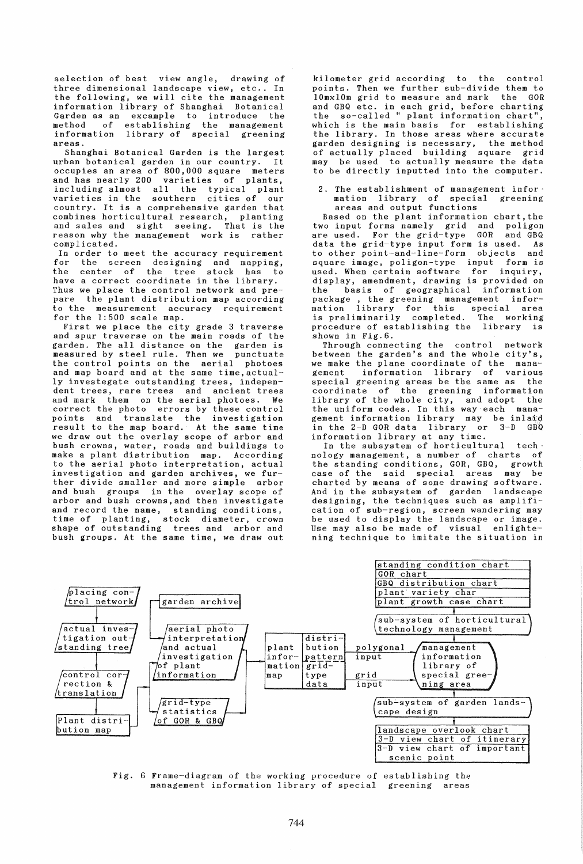selection of best view angle, drawing of three dimensional landscape view, etc.. In the following, we will cite the management information library of Shanghai Botanical Garden as an excample to introduce the method of establishing the management information library of special greening areas.

Shanghai Botanical Garden is the largest urban botanical garden in our country. It occupies an area of 800,000 square meters and has nearly 200 varieties of plants, including almost all the typical plant varieties in the southern cities of our country. It is a comprehensive garden that combines horticultural research, planting and sales and sight seeing. That is the reason why the management work is rather complicated.

In order to meet the accuracy requirement for the screen designing and mapping, the center of the tree stock has to the center of the tree stock has to<br>have a correct coordinate in the library. Thus we place the control network and prepare the plant distribution map according to the measurement accuracy requirement for the 1:500 scale map.

First we place the city grade 3 traverse and spur traverse on the main roads of the garden. The all distance on the garden is measured by steel rule. Then we punctuate the control points on the aerial photoes and map board and at the same time,actually investegate outstanding trees, independent trees, rare trees and ancient trees and mark them on the aerial photoes. We correct the photo errors by these control points and translate the investigation result to the map board. At the same time we draw out the overlay scope of arbor and bush crowns, water, roads and buildings to make a plant distribution map. According to the aerial photo interpretation, actual investigation and garden archives, we further divide smaller and more simple arbor and bush groups in the overlay scope of arbor and bush crowns,and then investigate and record the name, standing conditions, time of planting, stock diameter, crown shape of outstanding trees and arbor and bush groups. At the same time, we draw out

kilometer grid according to the control points. Then we further sub-divide them to lOmxlOm grid to measure and mark the GOR and GBQ etc. in each grid, before charting the so-called " plant information chart", which is the main basis for establishing the library. In those areas where accurate garden designing is necessary, the method of actually placed building square grid may be used to actually measure the data to be directly inputted into the computer.

2. The establishment of management infor-<br>mation library of special greening mation library of special greening areas and output functions

Based on the plant information chart, the two input forms namely grid and poligon are used. For the grid-type GOR and GBQ data the grid-type input form is used. As to other point-and-line-form objects and square image, poligon-type input form is used. When certain software for inquiry, display, amendment, drawing is provided on the basis of geographical information package , the greening management information library for this special area is preliminarily completed. The working procedure of establishing the library is shown in Fig.6.

Through connecting the control network between the garden's and the whole city's, we make the plane coordinate of the mana-<br>gement information library of various information library of various special greening areas be the same as the coordinate of the greening information library of the whole city, and adopt the the uniform codes. In this way each management information library may be inla#d in the 2-D GOR data library or 3-D GBO information library at any time.

In the subsystem of horticultural technology management, a number of charts of the standing conditions, GOR, GBQ, growth case of the said special areas may be charted by means of some drawing software. And in the subsystem of garden landscape designing, the techniques such as amplification of sub-region, screen wandering may be used to display the landscape or image. Use may also be made of visual enlightening technique to imitate the situation in



Fig. 6 Frame-diagram of the working procedure of establishing the management information library of special greening areas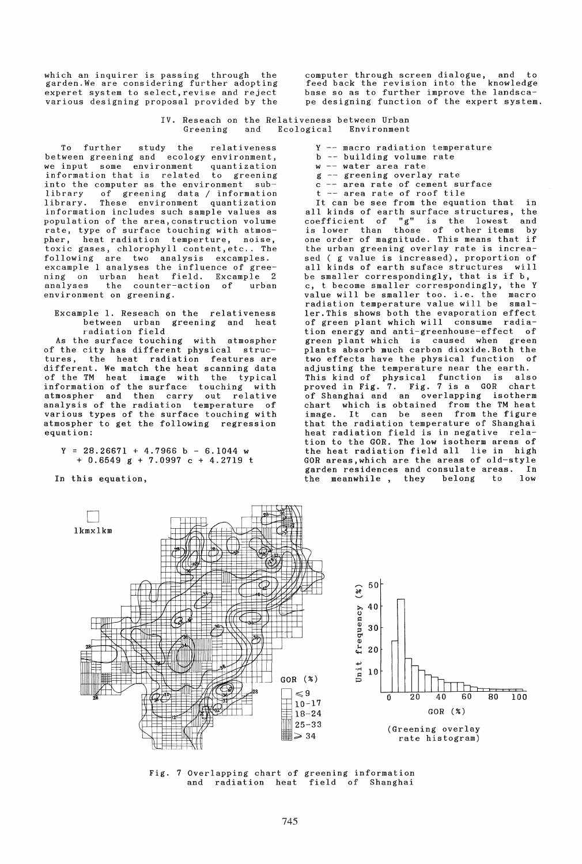which an inquirer is passing through the garden.We are considering further adopting experet system to select,revise and reject various designing proposal provided by the

computer through screen dialogue, and to feed back the revision into the knowledge base so as to further improve the landscape designing function of the expert system.

IV. Reseach on the Relativeness between Urban Environment

To further study the relativeness between greening and ecology environment,<br>we input some environment quantization some environment information that is related to greening into the computer as the environment sub-<br>library of greening data / information library of greening data / information These environment quantization information includes such sample values as population of the area,construction volume rate, type of surface touching with atmospher, heat radiation temperture, noise, toxic gases, chlorophyll content,etc .. The following are two analysis excamples. excample 1 analyses the influence of greening on urban heat field. Excample 2<br>analyses the counter-action of urban the counter-action of urban environment on greening.

Excample 1. Reseach on the relativeness between urban greening and heat radiation field

As the surface touching with atmospher of the city has different physical structures, the heat radiation features are different. We match the heat scanning data of the TM heat image with the typical information of the surface touching with atmospher and then carry out relative analysis of the radiation temperature of various types of the surface touching with atmospher to get the following regression equation:

- $Y = 28.26671 + 4.7966$  b 6.1044 w<br>+ 0.6549 g + 7.0997 c + 4.2719 t
- In this equation,
- $Y$  -- macro radiation temperature
- b -- building volume rate
- $w$  -- water area rate
- $g$  -- greening overlay rate
- c -- area rate of cement surface<br>t -- area rate of roof tile
- t -- area rate of roof tile<br>It can be see from the equation that in

all kinds of earth surface structures, the coefficient of "g" is the lowest and is lower than those of other items by one order of magnitude. This means that if the urban greening overlay rate is increased ( g value is increased), proportion of all kinds of earth suface structures will be smaller correspondingly, that is if b, c, t become smaller correspondingly, the Y value will be smaller too. i.e. the radiation temperature value will be smaller.This shows both the evaporation effect of green plant which will consume tion energy and anti-greenhouse-effect of green plant which is caused when green plants absorb much carbon dioxide.Both the two effects have the physical function of adjusting the temperature near the earth. This kind of physical function is also proved in Fig. 7. Fig. 7 is a GOR chart of Shanghai and an overlapping isotherm chart which is obtained from the TM heat It can be seen from the figure that the radiation temperature of Shanghai heat radiation field is in negative relation to the GOR. The low isotherm areas of the heat radiation field all lie in high GOR areas,which are the areas of old-style garden residences and consulate areas. In<br>the meanwhile, they belong to low the meanwhile, they belong to



Fig. 7 Overlapping chart of greening information and radiation heat field of Shanghai